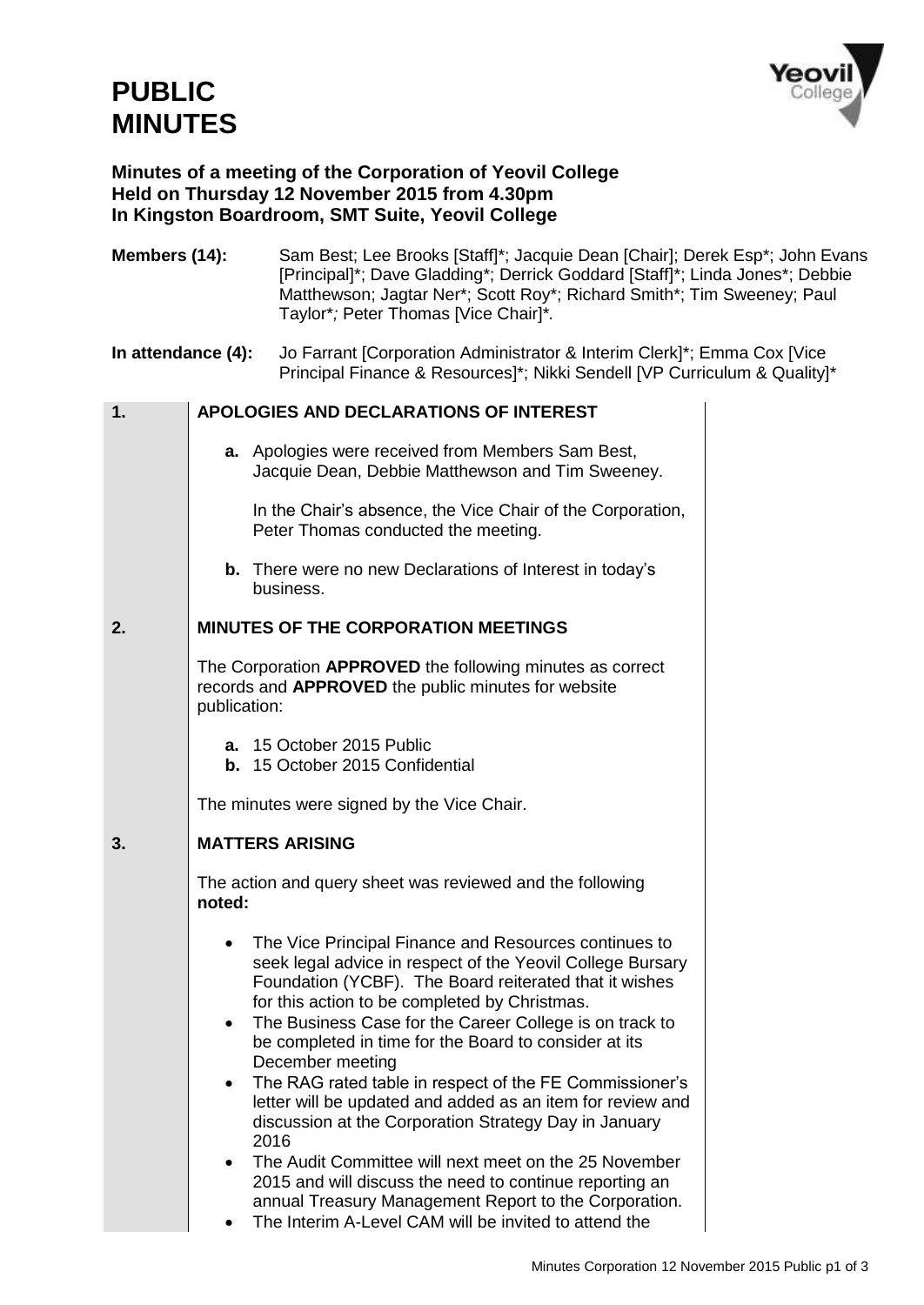

## **Minutes of a meeting of the Corporation of Yeovil College Held on Thursday 12 November 2015 from 4.30pm In Kingston Boardroom, SMT Suite, Yeovil College**

| Members (14):      |                                                                                                                                  | Sam Best; Lee Brooks [Staff]*; Jacquie Dean [Chair]; Derek Esp*; John Evans<br>[Principal]*; Dave Gladding*; Derrick Goddard [Staff]*; Linda Jones*; Debbie<br>Matthewson; Jagtar Ner*; Scott Roy*; Richard Smith*; Tim Sweeney; Paul<br>Taylor*; Peter Thomas [Vice Chair]*.                                                                                                                                                                                                                                                                                                                                                                                                                                                                                                                            |  |  |  |  |
|--------------------|----------------------------------------------------------------------------------------------------------------------------------|----------------------------------------------------------------------------------------------------------------------------------------------------------------------------------------------------------------------------------------------------------------------------------------------------------------------------------------------------------------------------------------------------------------------------------------------------------------------------------------------------------------------------------------------------------------------------------------------------------------------------------------------------------------------------------------------------------------------------------------------------------------------------------------------------------|--|--|--|--|
| In attendance (4): |                                                                                                                                  | Jo Farrant [Corporation Administrator & Interim Clerk]*; Emma Cox [Vice]<br>Principal Finance & Resources]*; Nikki Sendell [VP Curriculum & Quality]*                                                                                                                                                                                                                                                                                                                                                                                                                                                                                                                                                                                                                                                    |  |  |  |  |
| 1.                 |                                                                                                                                  | APOLOGIES AND DECLARATIONS OF INTEREST                                                                                                                                                                                                                                                                                                                                                                                                                                                                                                                                                                                                                                                                                                                                                                   |  |  |  |  |
|                    |                                                                                                                                  | a. Apologies were received from Members Sam Best,<br>Jacquie Dean, Debbie Matthewson and Tim Sweeney.                                                                                                                                                                                                                                                                                                                                                                                                                                                                                                                                                                                                                                                                                                    |  |  |  |  |
|                    |                                                                                                                                  | In the Chair's absence, the Vice Chair of the Corporation,<br>Peter Thomas conducted the meeting.                                                                                                                                                                                                                                                                                                                                                                                                                                                                                                                                                                                                                                                                                                        |  |  |  |  |
|                    |                                                                                                                                  | <b>b.</b> There were no new Declarations of Interest in today's<br>business.                                                                                                                                                                                                                                                                                                                                                                                                                                                                                                                                                                                                                                                                                                                             |  |  |  |  |
| 2.                 |                                                                                                                                  | <b>MINUTES OF THE CORPORATION MEETINGS</b>                                                                                                                                                                                                                                                                                                                                                                                                                                                                                                                                                                                                                                                                                                                                                               |  |  |  |  |
|                    | The Corporation APPROVED the following minutes as correct<br>records and APPROVED the public minutes for website<br>publication: |                                                                                                                                                                                                                                                                                                                                                                                                                                                                                                                                                                                                                                                                                                                                                                                                          |  |  |  |  |
|                    |                                                                                                                                  | a. 15 October 2015 Public<br><b>b.</b> 15 October 2015 Confidential                                                                                                                                                                                                                                                                                                                                                                                                                                                                                                                                                                                                                                                                                                                                      |  |  |  |  |
|                    |                                                                                                                                  | The minutes were signed by the Vice Chair.                                                                                                                                                                                                                                                                                                                                                                                                                                                                                                                                                                                                                                                                                                                                                               |  |  |  |  |
| 3.                 |                                                                                                                                  | <b>MATTERS ARISING</b>                                                                                                                                                                                                                                                                                                                                                                                                                                                                                                                                                                                                                                                                                                                                                                                   |  |  |  |  |
|                    | noted:                                                                                                                           | The action and query sheet was reviewed and the following                                                                                                                                                                                                                                                                                                                                                                                                                                                                                                                                                                                                                                                                                                                                                |  |  |  |  |
|                    | $\bullet$<br>$\bullet$                                                                                                           | • The Vice Principal Finance and Resources continues to<br>seek legal advice in respect of the Yeovil College Bursary<br>Foundation (YCBF). The Board reiterated that it wishes<br>for this action to be completed by Christmas.<br>The Business Case for the Career College is on track to<br>be completed in time for the Board to consider at its<br>December meeting<br>The RAG rated table in respect of the FE Commissioner's<br>letter will be updated and added as an item for review and<br>discussion at the Corporation Strategy Day in January<br>2016<br>The Audit Committee will next meet on the 25 November<br>2015 and will discuss the need to continue reporting an<br>annual Treasury Management Report to the Corporation.<br>The Interim A-Level CAM will be invited to attend the |  |  |  |  |
|                    |                                                                                                                                  |                                                                                                                                                                                                                                                                                                                                                                                                                                                                                                                                                                                                                                                                                                                                                                                                          |  |  |  |  |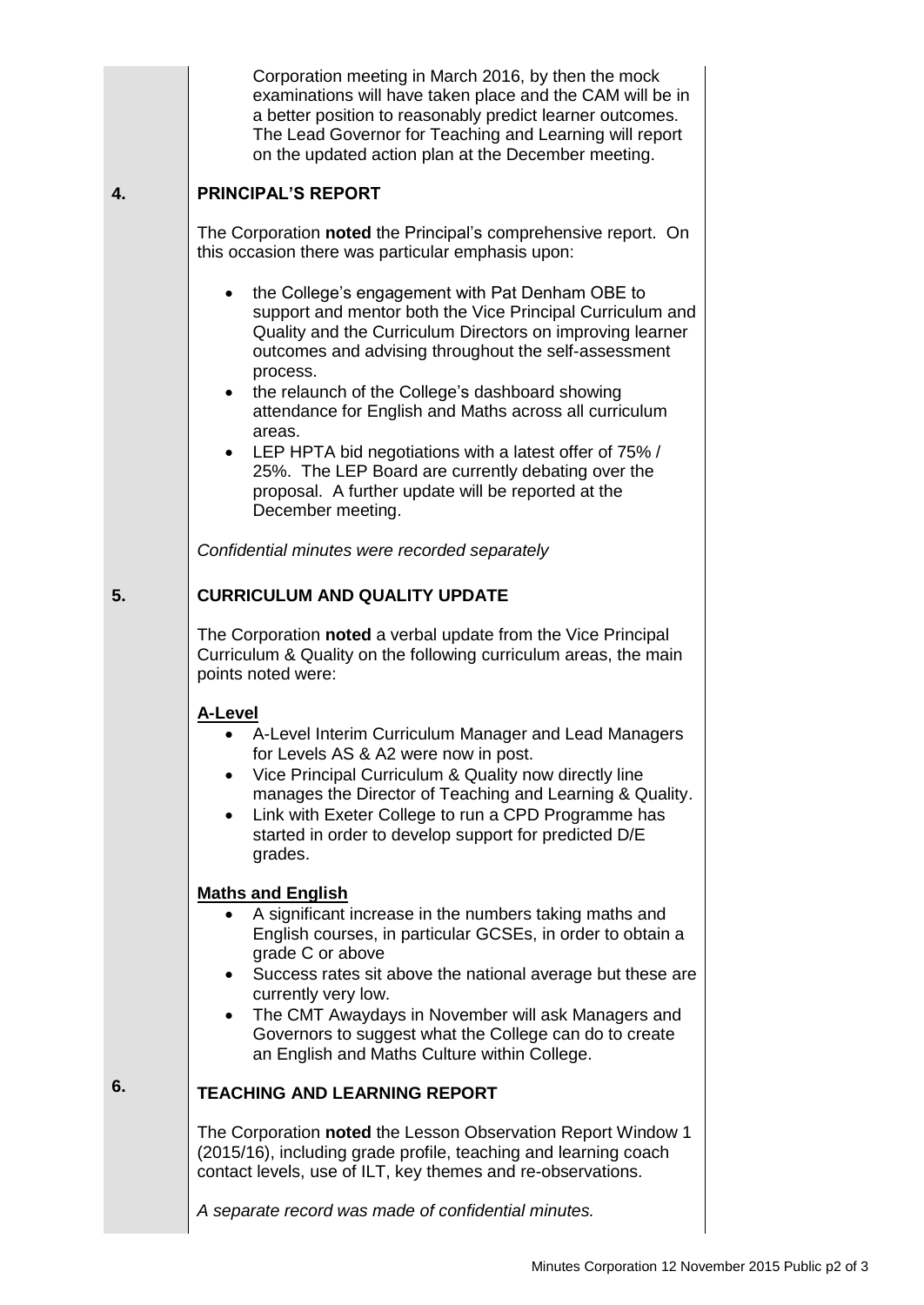|    | Corporation meeting in March 2016, by then the mock<br>examinations will have taken place and the CAM will be in<br>a better position to reasonably predict learner outcomes.<br>The Lead Governor for Teaching and Learning will report<br>on the updated action plan at the December meeting.                                                                                                                                                                                                                                                                                                |  |  |  |
|----|------------------------------------------------------------------------------------------------------------------------------------------------------------------------------------------------------------------------------------------------------------------------------------------------------------------------------------------------------------------------------------------------------------------------------------------------------------------------------------------------------------------------------------------------------------------------------------------------|--|--|--|
| 4. | <b>PRINCIPAL'S REPORT</b>                                                                                                                                                                                                                                                                                                                                                                                                                                                                                                                                                                      |  |  |  |
|    | The Corporation noted the Principal's comprehensive report. On<br>this occasion there was particular emphasis upon:                                                                                                                                                                                                                                                                                                                                                                                                                                                                            |  |  |  |
|    | the College's engagement with Pat Denham OBE to<br>٠<br>support and mentor both the Vice Principal Curriculum and<br>Quality and the Curriculum Directors on improving learner<br>outcomes and advising throughout the self-assessment<br>process.<br>the relaunch of the College's dashboard showing<br>$\bullet$<br>attendance for English and Maths across all curriculum<br>areas.<br>LEP HPTA bid negotiations with a latest offer of 75% /<br>$\bullet$<br>25%. The LEP Board are currently debating over the<br>proposal. A further update will be reported at the<br>December meeting. |  |  |  |
|    | Confidential minutes were recorded separately                                                                                                                                                                                                                                                                                                                                                                                                                                                                                                                                                  |  |  |  |
| 5. | <b>CURRICULUM AND QUALITY UPDATE</b>                                                                                                                                                                                                                                                                                                                                                                                                                                                                                                                                                           |  |  |  |
|    | The Corporation noted a verbal update from the Vice Principal<br>Curriculum & Quality on the following curriculum areas, the main<br>points noted were:                                                                                                                                                                                                                                                                                                                                                                                                                                        |  |  |  |
|    | <b>A-Level</b><br>A-Level Interim Curriculum Manager and Lead Managers<br>for Levels AS & A2 were now in post.<br>Vice Principal Curriculum & Quality now directly line<br>manages the Director of Teaching and Learning & Quality.<br>Link with Exeter College to run a CPD Programme has<br>$\bullet$<br>started in order to develop support for predicted D/E<br>grades.                                                                                                                                                                                                                    |  |  |  |
|    | <b>Maths and English</b><br>A significant increase in the numbers taking maths and<br>English courses, in particular GCSEs, in order to obtain a<br>grade C or above<br>Success rates sit above the national average but these are<br>currently very low.<br>The CMT Awaydays in November will ask Managers and<br>Governors to suggest what the College can do to create<br>an English and Maths Culture within College.                                                                                                                                                                      |  |  |  |
| 6. | <b>TEACHING AND LEARNING REPORT</b>                                                                                                                                                                                                                                                                                                                                                                                                                                                                                                                                                            |  |  |  |
|    | The Corporation noted the Lesson Observation Report Window 1<br>(2015/16), including grade profile, teaching and learning coach<br>contact levels, use of ILT, key themes and re-observations.                                                                                                                                                                                                                                                                                                                                                                                                 |  |  |  |
|    | A separate record was made of confidential minutes.                                                                                                                                                                                                                                                                                                                                                                                                                                                                                                                                            |  |  |  |